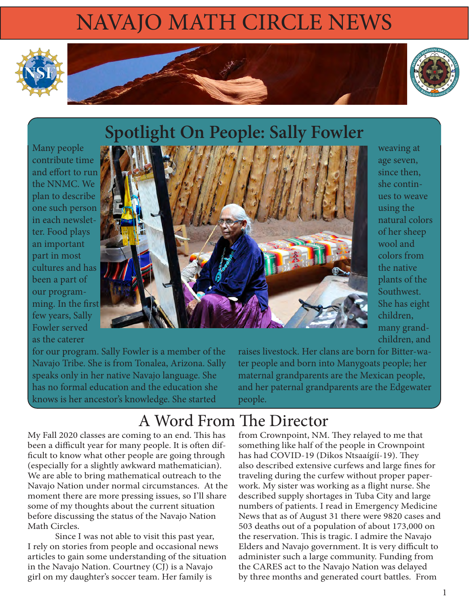# NAVAJO MATH CIRCLE NEWS





# **Spotlight On People: Sally Fowler**

Many people contribute time and effort to run the NNMC. We plan to describe one such person in each newsletter. Food plays an important part in most cultures and has been a part of our programming. In the first few years, Sally Fowler served as the caterer



weaving at age seven, since then, she continues to weave using the natural colors of her sheep wool and colors from the native plants of the Southwest. She has eight children, many grandchildren, and

for our program. Sally Fowler is a member of the Navajo Tribe. She is from Tonalea, Arizona. Sally speaks only in her native Navajo language. She has no formal education and the education she knows is her ancestor's knowledge. She started

raises livestock. Her clans are born for Bitter-water people and born into Manygoats people; her maternal grandparents are the Mexican people, and her paternal grandparents are the Edgewater people.

### A Word From The Director

My Fall 2020 classes are coming to an end. This has been a difficult year for many people. It is often difficult to know what other people are going through (especially for a slightly awkward mathematician). We are able to bring mathematical outreach to the Navajo Nation under normal circumstances. At the moment there are more pressing issues, so I'll share some of my thoughts about the current situation before discussing the status of the Navajo Nation Math Circles.

Since I was not able to visit this past year, I rely on stories from people and occasional news articles to gain some understanding of the situation in the Navajo Nation. Courtney (CJ) is a Navajo girl on my daughter's soccer team. Her family is

from Crownpoint, NM. They relayed to me that something like half of the people in Crownpoint has had COVID-19 (Dikos Ntsaaígíí-19). They also described extensive curfews and large fines for traveling during the curfew without proper paperwork. My sister was working as a flight nurse. She described supply shortages in Tuba City and large numbers of patients. I read in Emergency Medicine News that as of August 31 there were 9820 cases and 503 deaths out of a population of about 173,000 on the reservation. This is tragic. I admire the Navajo Elders and Navajo government. It is very difficult to administer such a large community. Funding from the CARES act to the Navajo Nation was delayed by three months and generated court battles. From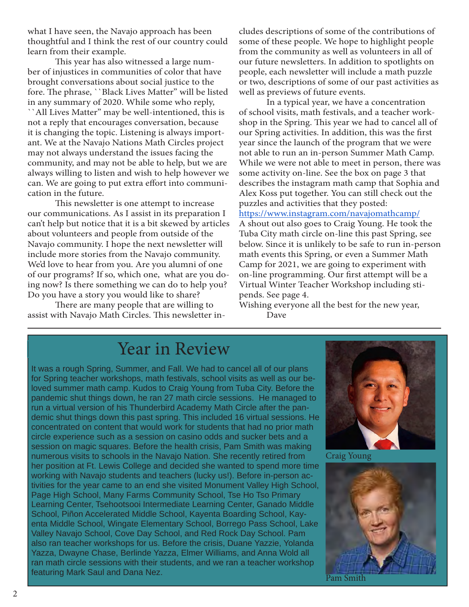what I have seen, the Navajo approach has been thoughtful and I think the rest of our country could learn from their example.

This year has also witnessed a large number of injustices in communities of color that have brought conversations about social justice to the fore. The phrase, ``Black Lives Matter" will be listed in any summary of 2020. While some who reply, ``All Lives Matter" may be well-intentioned, this is not a reply that encourages conversation, because it is changing the topic. Listening is always important. We at the Navajo Nations Math Circles project may not always understand the issues facing the community, and may not be able to help, but we are always willing to listen and wish to help however we can. We are going to put extra effort into communication in the future.

This newsletter is one attempt to increase our communications. As I assist in its preparation I can't help but notice that it is a bit skewed by articles about volunteers and people from outside of the Navajo community. I hope the next newsletter will include more stories from the Navajo community. We'd love to hear from you. Are you alumni of one of our programs? If so, which one, what are you doing now? Is there something we can do to help you? Do you have a story you would like to share?

There are many people that are willing to assist with Navajo Math Circles. This newsletter includes descriptions of some of the contributions of some of these people. We hope to highlight people from the community as well as volunteers in all of our future newsletters. In addition to spotlights on people, each newsletter will include a math puzzle or two, descriptions of some of our past activities as well as previews of future events.

In a typical year, we have a concentration of school visits, math festivals, and a teacher workshop in the Spring. This year we had to cancel all of our Spring activities. In addition, this was the first year since the launch of the program that we were not able to run an in-person Summer Math Camp. While we were not able to meet in person, there was some activity on-line. See the box on page 3 that describes the instagram math camp that Sophia and Alex Koss put together. You can still check out the puzzles and activities that they posted:

https://www.instagram.com/navajomathcamp/

A shout out also goes to Craig Young. He took the Tuba City math circle on-line this past Spring, see below. Since it is unlikely to be safe to run in-person math events this Spring, or even a Summer Math Camp for 2021, we are going to experiment with on-line programming. Our first attempt will be a Virtual Winter Teacher Workshop including stipends. See page 4.

Wishing everyone all the best for the new year, Dave

### Year in Review

It was a rough Spring, Summer, and Fall. We had to cancel all of our plans for Spring teacher workshops, math festivals, school visits as well as our beloved summer math camp. Kudos to Craig Young from Tuba City. Before the pandemic shut things down, he ran 27 math circle sessions. He managed to run a virtual version of his Thunderbird Academy Math Circle after the pandemic shut things down this past spring. This included 16 virtual sessions. He concentrated on content that would work for students that had no prior math circle experience such as a session on casino odds and sucker bets and a session on magic squares. Before the health crisis, Pam Smith was making numerous visits to schools in the Navajo Nation. She recently retired from her position at Ft. Lewis College and decided she wanted to spend more time working with Navajo students and teachers (lucky us!). Before in-person activities for the year came to an end she visited Monument Valley High School, Page High School, Many Farms Community School, Tse Ho Tso Primary Learning Center, Tsehootsooi Intermediate Learning Center, Ganado Middle School, Piñon Accelerated Middle School, Kayenta Boarding School, Kayenta Middle School, Wingate Elementary School, Borrego Pass School, Lake Valley Navajo School, Cove Day School, and Red Rock Day School. Pam also ran teacher workshops for us. Before the crisis, Duane Yazzie, Yolanda Yazza, Dwayne Chase, Berlinde Yazza, Elmer Williams, and Anna Wold all ran math circle sessions with their students, and we ran a teacher workshop featuring Mark Saul and Dana Nez.



Craig Young

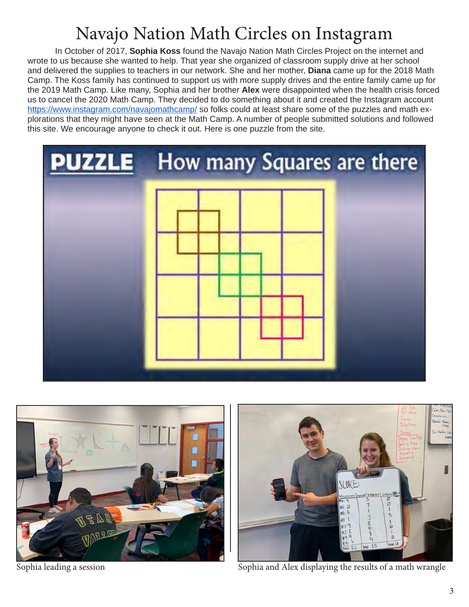### Navajo Nation Math Circles on Instagram

In October of 2017, **Sophia Koss** found the Navajo Nation Math Circles Project on the internet and wrote to us because she wanted to help. That year she organized of classroom supply drive at her school and delivered the supplies to teachers in our network. She and her mother, **Diana** came up for the 2018 Math Camp. The Koss family has continued to support us with more supply drives and the entire family came up for the 2019 Math Camp. Like many, Sophia and her brother **Alex** were disappointed when the health crisis forced us to cancel the 2020 Math Camp. They decided to do something about it and created the Instagram account https://www.instagram.com/navajomathcamp/ so folks could at least share some of the puzzles and math explorations that they might have seen at the Math Camp. A number of people submitted solutions and followed this site. We encourage anyone to check it out. Here is one puzzle from the site.





SCORE: ø 3

Sophia leading a session Sophia and Alex displaying the results of a math wrangle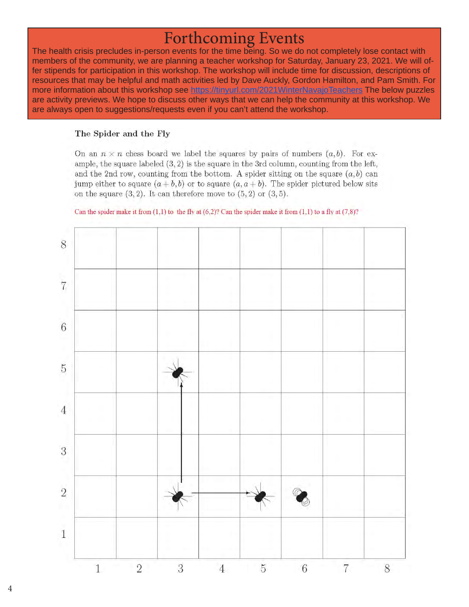${\hbox{Forthcoming Events}}$  The health crisis precludes in-person events for the time being. So we do not completely lose contact with members of the community, we are planning a teacher workshop for Saturday, January 23, 2021. We will offer stipends for participation in this workshop. The workshop will include time for discussion, descriptions of resources that may be helpful and math activities led by Dave Auckly, Gordon Hamilton, and Pam Smith. For more information about this workshop see https://tinyurl.com/2021WinterNavajoTeachers The below puzzles are activity previews. We hope to discuss other ways that we can help the community at this workshop. We are always open to suggestions/requests even if you can't attend the workshop.

### The Spider and the Fly

On an  $n \times n$  chess board we label the squares by pairs of numbers  $(a, b)$ . For example, the square labeled  $(3, 2)$  is the square in the 3rd column, counting from the left, and the 2nd row, counting from the bottom. A spider sitting on the square  $(a, b)$  can jump either to square  $(a + b, b)$  or to square  $(a, a + b)$ . The spider pictured below sits on the square  $(3, 2)$ . It can therefore move to  $(5, 2)$  or  $(3, 5)$ .